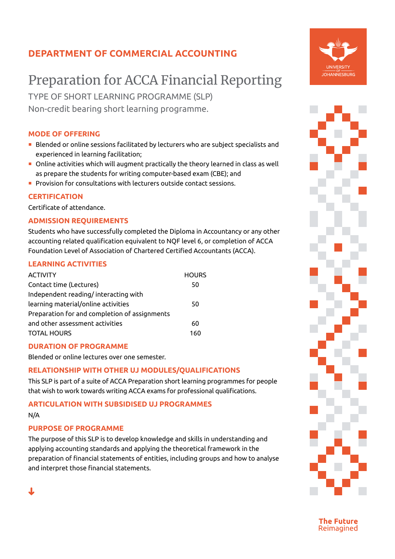# **DEPARTMENT OF COMMERCIAL ACCOUNTING**

# Preparation for ACCA Financial Reporting

TYPE OF SHORT LEARNING PROGRAMME (SLP) Non-credit bearing short learning programme.

## **MODE OF OFFERING**

- Blended or online sessions facilitated by lecturers who are subject specialists and experienced in learning facilitation;
- $\blacksquare$  Online activities which will augment practically the theory learned in class as well as prepare the students for writing computer-based exam (CBE); and
- **Provision for consultations with lecturers outside contact sessions.**

### **CERTIFICATION**

Certificate of attendance.

### **ADMISSION REQUIREMENTS**

Students who have successfully completed the Diploma in Accountancy or any other accounting related qualification equivalent to NQF level 6, or completion of ACCA Foundation Level of Association of Chartered Certified Accountants (ACCA).

#### **LEARNING ACTIVITIES**

| <b>ACTIVITY</b>                               | <b>HOURS</b> |
|-----------------------------------------------|--------------|
| Contact time (Lectures)                       | 50           |
| Independent reading/interacting with          |              |
| learning material/online activities           | 50           |
| Preparation for and completion of assignments |              |
| and other assessment activities               | 60           |
| <b>TOTAL HOURS</b>                            | 160          |
|                                               |              |

#### **DURATION OF PROGRAMME**

Blended or online lectures over one semester.

# **RELATIONSHIP WITH OTHER UJ MODULES/QUALIFICATIONS**

This SLP is part of a suite of ACCA Preparation short learning programmes for people that wish to work towards writing ACCA exams for professional qualifications.

#### **ARTICULATION WITH SUBSIDISED UJ PROGRAMMES**

N/A

➜

#### **PURPOSE OF PROGRAMME**

The purpose of this SLP is to develop knowledge and skills in understanding and applying accounting standards and applying the theoretical framework in the preparation of financial statements of entities, including groups and how to analyse and interpret those financial statements.





**The Future** Reimagined